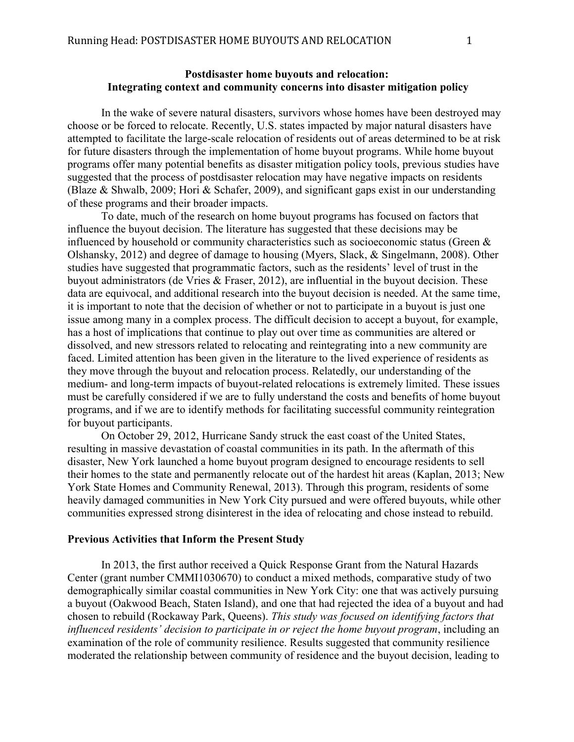# **Postdisaster home buyouts and relocation: Integrating context and community concerns into disaster mitigation policy**

In the wake of severe natural disasters, survivors whose homes have been destroyed may choose or be forced to relocate. Recently, U.S. states impacted by major natural disasters have attempted to facilitate the large-scale relocation of residents out of areas determined to be at risk for future disasters through the implementation of home buyout programs. While home buyout programs offer many potential benefits as disaster mitigation policy tools, previous studies have suggested that the process of postdisaster relocation may have negative impacts on residents (Blaze & Shwalb, 2009; Hori & Schafer, 2009), and significant gaps exist in our understanding of these programs and their broader impacts.

To date, much of the research on home buyout programs has focused on factors that influence the buyout decision. The literature has suggested that these decisions may be influenced by household or community characteristics such as socioeconomic status (Green & Olshansky, 2012) and degree of damage to housing (Myers, Slack, & Singelmann, 2008). Other studies have suggested that programmatic factors, such as the residents' level of trust in the buyout administrators (de Vries & Fraser, 2012), are influential in the buyout decision. These data are equivocal, and additional research into the buyout decision is needed. At the same time, it is important to note that the decision of whether or not to participate in a buyout is just one issue among many in a complex process. The difficult decision to accept a buyout, for example, has a host of implications that continue to play out over time as communities are altered or dissolved, and new stressors related to relocating and reintegrating into a new community are faced. Limited attention has been given in the literature to the lived experience of residents as they move through the buyout and relocation process. Relatedly, our understanding of the medium- and long-term impacts of buyout-related relocations is extremely limited. These issues must be carefully considered if we are to fully understand the costs and benefits of home buyout programs, and if we are to identify methods for facilitating successful community reintegration for buyout participants.

On October 29, 2012, Hurricane Sandy struck the east coast of the United States, resulting in massive devastation of coastal communities in its path. In the aftermath of this disaster, New York launched a home buyout program designed to encourage residents to sell their homes to the state and permanently relocate out of the hardest hit areas (Kaplan, 2013; New York State Homes and Community Renewal, 2013). Through this program, residents of some heavily damaged communities in New York City pursued and were offered buyouts, while other communities expressed strong disinterest in the idea of relocating and chose instead to rebuild.

### **Previous Activities that Inform the Present Study**

In 2013, the first author received a Quick Response Grant from the Natural Hazards Center (grant number CMMI1030670) to conduct a mixed methods, comparative study of two demographically similar coastal communities in New York City: one that was actively pursuing a buyout (Oakwood Beach, Staten Island), and one that had rejected the idea of a buyout and had chosen to rebuild (Rockaway Park, Queens). *This study was focused on identifying factors that influenced residents' decision to participate in or reject the home buyout program*, including an examination of the role of community resilience. Results suggested that community resilience moderated the relationship between community of residence and the buyout decision, leading to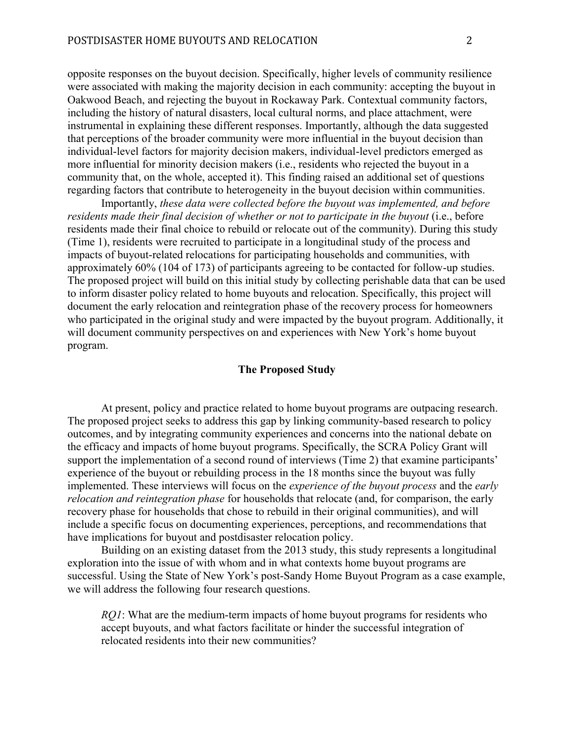opposite responses on the buyout decision. Specifically, higher levels of community resilience were associated with making the majority decision in each community: accepting the buyout in Oakwood Beach, and rejecting the buyout in Rockaway Park. Contextual community factors, including the history of natural disasters, local cultural norms, and place attachment, were instrumental in explaining these different responses. Importantly, although the data suggested that perceptions of the broader community were more influential in the buyout decision than individual-level factors for majority decision makers, individual-level predictors emerged as more influential for minority decision makers (i.e., residents who rejected the buyout in a community that, on the whole, accepted it). This finding raised an additional set of questions regarding factors that contribute to heterogeneity in the buyout decision within communities.

Importantly, *these data were collected before the buyout was implemented, and before residents made their final decision of whether or not to participate in the buyout* (i.e., before residents made their final choice to rebuild or relocate out of the community). During this study (Time 1), residents were recruited to participate in a longitudinal study of the process and impacts of buyout-related relocations for participating households and communities, with approximately 60% (104 of 173) of participants agreeing to be contacted for follow-up studies. The proposed project will build on this initial study by collecting perishable data that can be used to inform disaster policy related to home buyouts and relocation. Specifically, this project will document the early relocation and reintegration phase of the recovery process for homeowners who participated in the original study and were impacted by the buyout program. Additionally, it will document community perspectives on and experiences with New York's home buyout program.

## **The Proposed Study**

At present, policy and practice related to home buyout programs are outpacing research. The proposed project seeks to address this gap by linking community-based research to policy outcomes, and by integrating community experiences and concerns into the national debate on the efficacy and impacts of home buyout programs. Specifically, the SCRA Policy Grant will support the implementation of a second round of interviews (Time 2) that examine participants' experience of the buyout or rebuilding process in the 18 months since the buyout was fully implemented. These interviews will focus on the *experience of the buyout process* and the *early relocation and reintegration phase* for households that relocate (and, for comparison, the early recovery phase for households that chose to rebuild in their original communities), and will include a specific focus on documenting experiences, perceptions, and recommendations that have implications for buyout and postdisaster relocation policy.

Building on an existing dataset from the 2013 study, this study represents a longitudinal exploration into the issue of with whom and in what contexts home buyout programs are successful. Using the State of New York's post-Sandy Home Buyout Program as a case example, we will address the following four research questions.

*RQ1*: What are the medium-term impacts of home buyout programs for residents who accept buyouts, and what factors facilitate or hinder the successful integration of relocated residents into their new communities?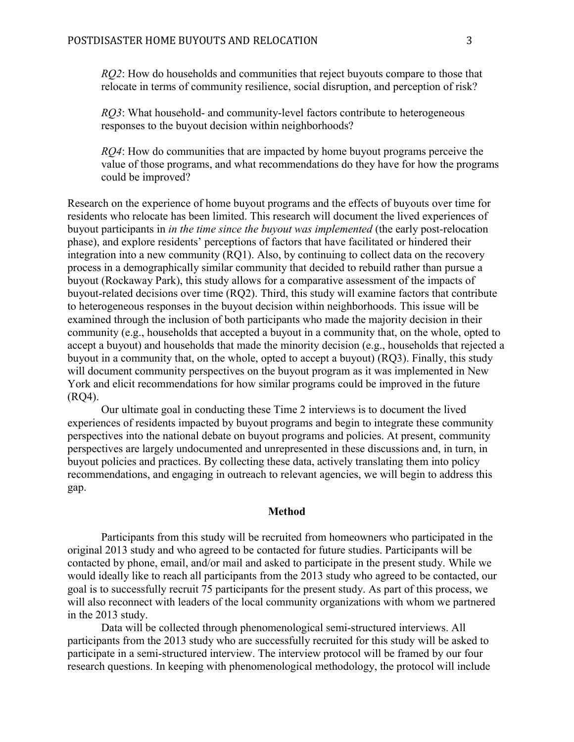*RQ2*: How do households and communities that reject buyouts compare to those that relocate in terms of community resilience, social disruption, and perception of risk?

*RQ3*: What household- and community-level factors contribute to heterogeneous responses to the buyout decision within neighborhoods?

*RQ4*: How do communities that are impacted by home buyout programs perceive the value of those programs, and what recommendations do they have for how the programs could be improved?

Research on the experience of home buyout programs and the effects of buyouts over time for residents who relocate has been limited. This research will document the lived experiences of buyout participants in *in the time since the buyout was implemented* (the early post-relocation phase), and explore residents' perceptions of factors that have facilitated or hindered their integration into a new community (RQ1). Also, by continuing to collect data on the recovery process in a demographically similar community that decided to rebuild rather than pursue a buyout (Rockaway Park), this study allows for a comparative assessment of the impacts of buyout-related decisions over time (RQ2). Third, this study will examine factors that contribute to heterogeneous responses in the buyout decision within neighborhoods. This issue will be examined through the inclusion of both participants who made the majority decision in their community (e.g., households that accepted a buyout in a community that, on the whole, opted to accept a buyout) and households that made the minority decision (e.g., households that rejected a buyout in a community that, on the whole, opted to accept a buyout) (RQ3). Finally, this study will document community perspectives on the buyout program as it was implemented in New York and elicit recommendations for how similar programs could be improved in the future (RQ4).

Our ultimate goal in conducting these Time 2 interviews is to document the lived experiences of residents impacted by buyout programs and begin to integrate these community perspectives into the national debate on buyout programs and policies. At present, community perspectives are largely undocumented and unrepresented in these discussions and, in turn, in buyout policies and practices. By collecting these data, actively translating them into policy recommendations, and engaging in outreach to relevant agencies, we will begin to address this gap.

#### **Method**

Participants from this study will be recruited from homeowners who participated in the original 2013 study and who agreed to be contacted for future studies. Participants will be contacted by phone, email, and/or mail and asked to participate in the present study. While we would ideally like to reach all participants from the 2013 study who agreed to be contacted, our goal is to successfully recruit 75 participants for the present study. As part of this process, we will also reconnect with leaders of the local community organizations with whom we partnered in the 2013 study.

Data will be collected through phenomenological semi-structured interviews. All participants from the 2013 study who are successfully recruited for this study will be asked to participate in a semi-structured interview. The interview protocol will be framed by our four research questions. In keeping with phenomenological methodology, the protocol will include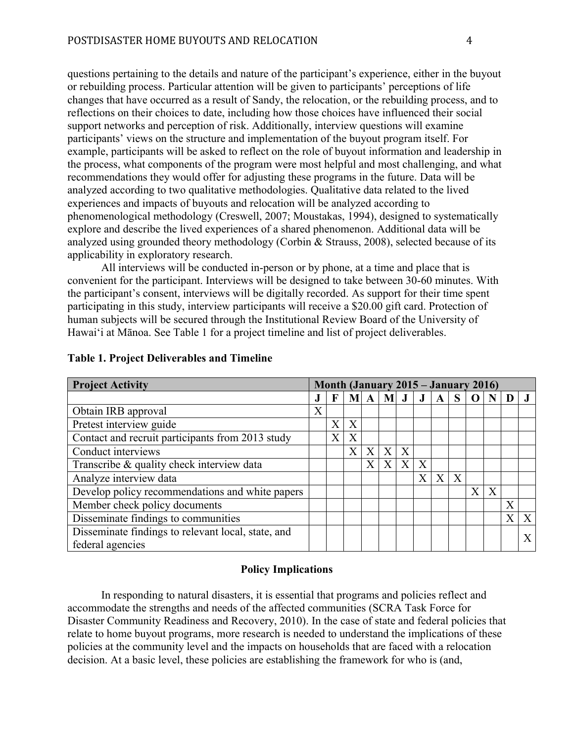questions pertaining to the details and nature of the participant's experience, either in the buyout or rebuilding process. Particular attention will be given to participants' perceptions of life changes that have occurred as a result of Sandy, the relocation, or the rebuilding process, and to reflections on their choices to date, including how those choices have influenced their social support networks and perception of risk. Additionally, interview questions will examine participants' views on the structure and implementation of the buyout program itself. For example, participants will be asked to reflect on the role of buyout information and leadership in the process, what components of the program were most helpful and most challenging, and what recommendations they would offer for adjusting these programs in the future. Data will be analyzed according to two qualitative methodologies. Qualitative data related to the lived experiences and impacts of buyouts and relocation will be analyzed according to phenomenological methodology (Creswell, 2007; Moustakas, 1994), designed to systematically explore and describe the lived experiences of a shared phenomenon. Additional data will be analyzed using grounded theory methodology (Corbin & Strauss, 2008), selected because of its applicability in exploratory research.

All interviews will be conducted in-person or by phone, at a time and place that is convenient for the participant. Interviews will be designed to take between 30-60 minutes. With the participant's consent, interviews will be digitally recorded. As support for their time spent participating in this study, interview participants will receive a \$20.00 gift card. Protection of human subjects will be secured through the Institutional Review Board of the University of Hawai'i at Mānoa. See Table 1 for a project timeline and list of project deliverables.

| <b>Project Activity</b>                            | Month (January 2015 – January 2016) |              |   |                   |   |         |              |                |   |                       |   |   |   |
|----------------------------------------------------|-------------------------------------|--------------|---|-------------------|---|---------|--------------|----------------|---|-----------------------|---|---|---|
|                                                    |                                     |              | M | A                 | M | $\bf J$ | J            | A              | S |                       |   |   |   |
| Obtain IRB approval                                | X                                   |              |   |                   |   |         |              |                |   |                       |   |   |   |
| Pretest interview guide                            |                                     | X            | X |                   |   |         |              |                |   |                       |   |   |   |
| Contact and recruit participants from 2013 study   |                                     | $\mathbf{X}$ | X |                   |   |         |              |                |   |                       |   |   |   |
| Conduct interviews                                 |                                     |              | X | X                 | X | X       |              |                |   |                       |   |   |   |
| Transcribe & quality check interview data          |                                     |              |   | $\rm\overline{X}$ | X | X       | X            |                |   |                       |   |   |   |
| Analyze interview data                             |                                     |              |   |                   |   |         | $\mathbf{X}$ | $\overline{X}$ | X |                       |   |   |   |
| Develop policy recommendations and white papers    |                                     |              |   |                   |   |         |              |                |   | $\overline{\text{X}}$ | X |   |   |
| Member check policy documents                      |                                     |              |   |                   |   |         |              |                |   |                       |   | X |   |
| Disseminate findings to communities                |                                     |              |   |                   |   |         |              |                |   |                       |   | X | X |
| Disseminate findings to relevant local, state, and |                                     |              |   |                   |   |         |              |                |   |                       |   |   | X |
| federal agencies                                   |                                     |              |   |                   |   |         |              |                |   |                       |   |   |   |

## **Table 1. Project Deliverables and Timeline**

# **Policy Implications**

In responding to natural disasters, it is essential that programs and policies reflect and accommodate the strengths and needs of the affected communities (SCRA Task Force for Disaster Community Readiness and Recovery, 2010). In the case of state and federal policies that relate to home buyout programs, more research is needed to understand the implications of these policies at the community level and the impacts on households that are faced with a relocation decision. At a basic level, these policies are establishing the framework for who is (and,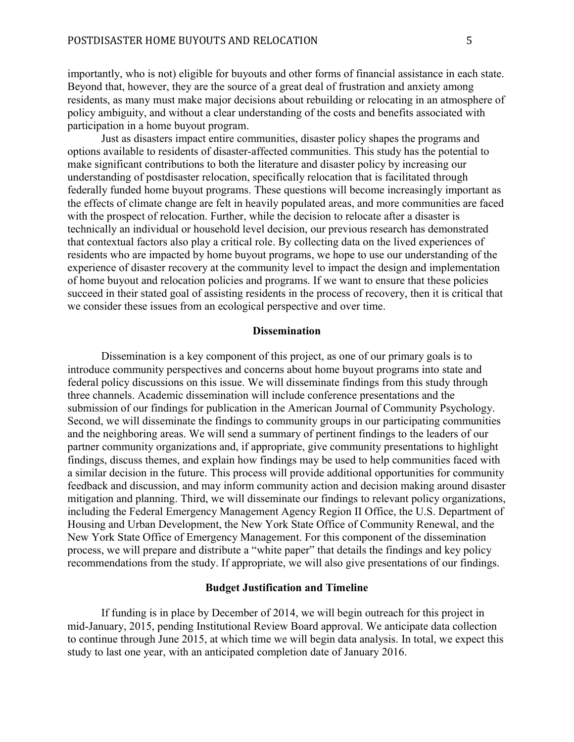importantly, who is not) eligible for buyouts and other forms of financial assistance in each state. Beyond that, however, they are the source of a great deal of frustration and anxiety among residents, as many must make major decisions about rebuilding or relocating in an atmosphere of policy ambiguity, and without a clear understanding of the costs and benefits associated with participation in a home buyout program.

Just as disasters impact entire communities, disaster policy shapes the programs and options available to residents of disaster-affected communities. This study has the potential to make significant contributions to both the literature and disaster policy by increasing our understanding of postdisaster relocation, specifically relocation that is facilitated through federally funded home buyout programs. These questions will become increasingly important as the effects of climate change are felt in heavily populated areas, and more communities are faced with the prospect of relocation. Further, while the decision to relocate after a disaster is technically an individual or household level decision, our previous research has demonstrated that contextual factors also play a critical role. By collecting data on the lived experiences of residents who are impacted by home buyout programs, we hope to use our understanding of the experience of disaster recovery at the community level to impact the design and implementation of home buyout and relocation policies and programs. If we want to ensure that these policies succeed in their stated goal of assisting residents in the process of recovery, then it is critical that we consider these issues from an ecological perspective and over time.

# **Dissemination**

Dissemination is a key component of this project, as one of our primary goals is to introduce community perspectives and concerns about home buyout programs into state and federal policy discussions on this issue. We will disseminate findings from this study through three channels. Academic dissemination will include conference presentations and the submission of our findings for publication in the American Journal of Community Psychology. Second, we will disseminate the findings to community groups in our participating communities and the neighboring areas. We will send a summary of pertinent findings to the leaders of our partner community organizations and, if appropriate, give community presentations to highlight findings, discuss themes, and explain how findings may be used to help communities faced with a similar decision in the future. This process will provide additional opportunities for community feedback and discussion, and may inform community action and decision making around disaster mitigation and planning. Third, we will disseminate our findings to relevant policy organizations, including the Federal Emergency Management Agency Region II Office, the U.S. Department of Housing and Urban Development, the New York State Office of Community Renewal, and the New York State Office of Emergency Management. For this component of the dissemination process, we will prepare and distribute a "white paper" that details the findings and key policy recommendations from the study. If appropriate, we will also give presentations of our findings.

# **Budget Justification and Timeline**

If funding is in place by December of 2014, we will begin outreach for this project in mid-January, 2015, pending Institutional Review Board approval. We anticipate data collection to continue through June 2015, at which time we will begin data analysis. In total, we expect this study to last one year, with an anticipated completion date of January 2016.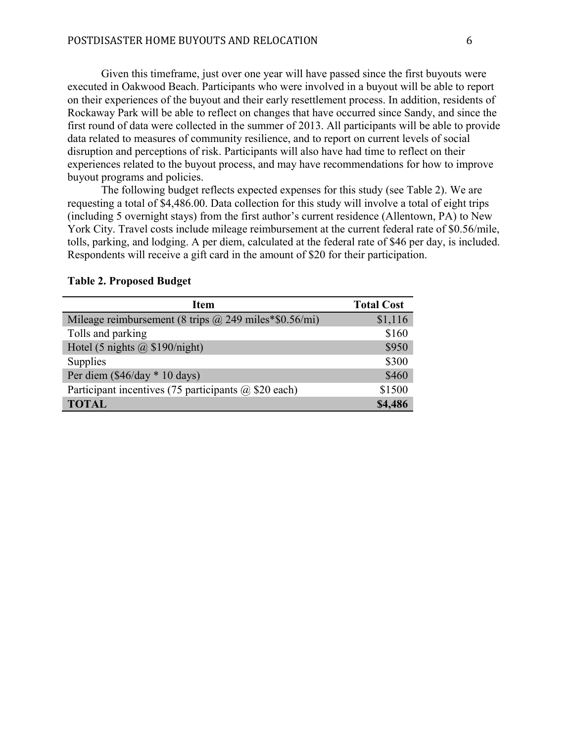Given this timeframe, just over one year will have passed since the first buyouts were executed in Oakwood Beach. Participants who were involved in a buyout will be able to report on their experiences of the buyout and their early resettlement process. In addition, residents of Rockaway Park will be able to reflect on changes that have occurred since Sandy, and since the first round of data were collected in the summer of 2013. All participants will be able to provide data related to measures of community resilience, and to report on current levels of social disruption and perceptions of risk. Participants will also have had time to reflect on their experiences related to the buyout process, and may have recommendations for how to improve buyout programs and policies.

The following budget reflects expected expenses for this study (see Table 2). We are requesting a total of \$4,486.00. Data collection for this study will involve a total of eight trips (including 5 overnight stays) from the first author's current residence (Allentown, PA) to New York City. Travel costs include mileage reimbursement at the current federal rate of \$0.56/mile, tolls, parking, and lodging. A per diem, calculated at the federal rate of \$46 per day, is included. Respondents will receive a gift card in the amount of \$20 for their participation.

| <b>Item</b>                                                  | <b>Total Cost</b> |  |  |  |  |
|--------------------------------------------------------------|-------------------|--|--|--|--|
| Mileage reimbursement (8 trips $\omega$ 249 miles*\$0.56/mi) | \$1,116           |  |  |  |  |
| Tolls and parking                                            | \$160             |  |  |  |  |
| Hotel (5 nights $\omega$ \$190/night)                        | \$950             |  |  |  |  |
| <b>Supplies</b>                                              | \$300             |  |  |  |  |
| Per diem $(\$46/day * 10 days)$                              | \$460             |  |  |  |  |
| Participant incentives (75 participants @ \$20 each)         | \$1500            |  |  |  |  |
| <b>TOTAL</b>                                                 | \$4,486           |  |  |  |  |

#### **Table 2. Proposed Budget**